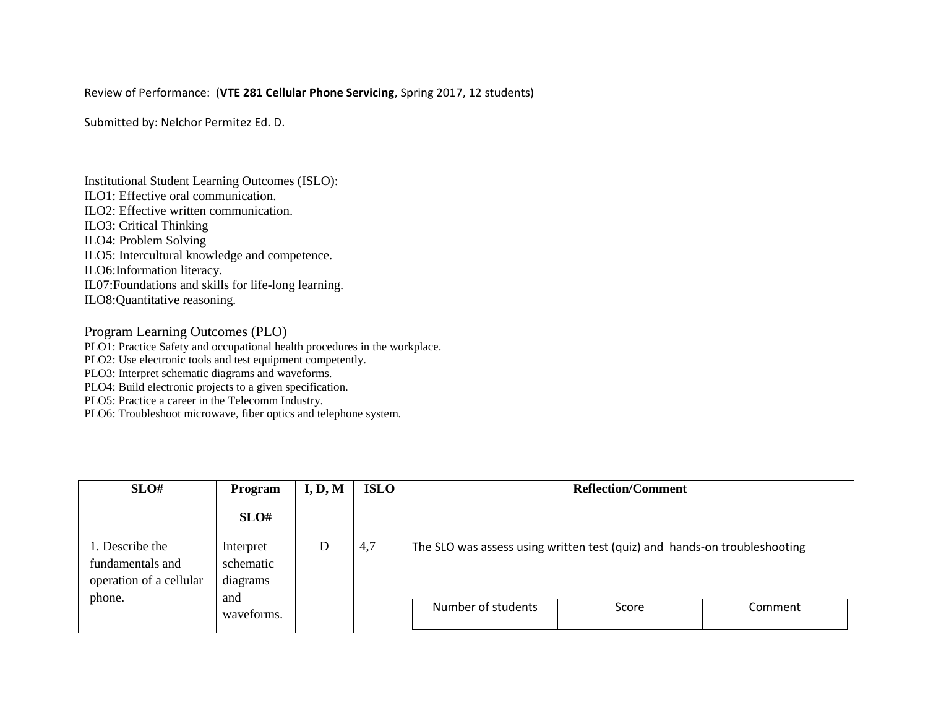## Review of Performance: (**VTE 281 Cellular Phone Servicing**, Spring 2017, 12 students)

Submitted by: Nelchor Permitez Ed. D.

Institutional Student Learning Outcomes (ISLO): ILO1: Effective oral communication. ILO2: Effective written communication. ILO3: Critical Thinking ILO4: Problem Solving ILO5: Intercultural knowledge and competence. ILO6:Information literacy. IL07:Foundations and skills for life-long learning. ILO8:Quantitative reasoning.

Program Learning Outcomes (PLO)

PLO1: Practice Safety and occupational health procedures in the workplace.

PLO2: Use electronic tools and test equipment competently.

PLO3: Interpret schematic diagrams and waveforms.

PLO4: Build electronic projects to a given specification.

PLO5: Practice a career in the Telecomm Industry.

PLO6: Troubleshoot microwave, fiber optics and telephone system.

| SLO#                                                                     | Program                                   | I, D, M | <b>ISLO</b> | <b>Reflection/Comment</b>                                                 |       |         |  |
|--------------------------------------------------------------------------|-------------------------------------------|---------|-------------|---------------------------------------------------------------------------|-------|---------|--|
|                                                                          | SLO#                                      |         |             |                                                                           |       |         |  |
| 1. Describe the<br>fundamentals and<br>operation of a cellular<br>phone. | Interpret<br>schematic<br>diagrams<br>and | D       | 4,7         | The SLO was assess using written test (quiz) and hands-on troubleshooting |       |         |  |
|                                                                          | waveforms.                                |         |             | Number of students                                                        | Score | Comment |  |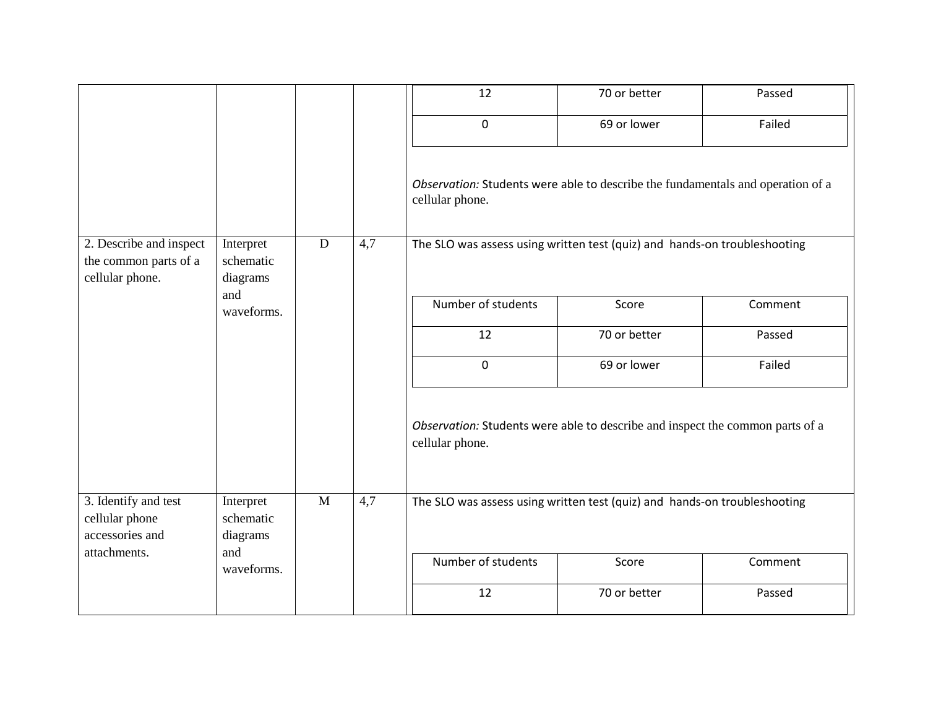|                                                                     |                                    |                |     | 12                                                                                                 | 70 or better | Passed  |  |  |
|---------------------------------------------------------------------|------------------------------------|----------------|-----|----------------------------------------------------------------------------------------------------|--------------|---------|--|--|
|                                                                     |                                    |                |     | 0                                                                                                  | 69 or lower  | Failed  |  |  |
|                                                                     |                                    |                |     | Observation: Students were able to describe the fundamentals and operation of a<br>cellular phone. |              |         |  |  |
| 2. Describe and inspect<br>the common parts of a<br>cellular phone. | Interpret<br>schematic<br>diagrams | $\overline{D}$ | 4,7 | The SLO was assess using written test (quiz) and hands-on troubleshooting                          |              |         |  |  |
|                                                                     | and<br>waveforms.                  |                |     | Number of students                                                                                 | Score        | Comment |  |  |
|                                                                     |                                    |                |     | 12                                                                                                 | 70 or better | Passed  |  |  |
|                                                                     |                                    |                |     | 0                                                                                                  | 69 or lower  | Failed  |  |  |
|                                                                     |                                    |                |     | Observation: Students were able to describe and inspect the common parts of a<br>cellular phone.   |              |         |  |  |
| 3. Identify and test<br>cellular phone                              | Interpret<br>schematic             | $\mathbf{M}$   | 4,7 | The SLO was assess using written test (quiz) and hands-on troubleshooting                          |              |         |  |  |
| accessories and                                                     | diagrams                           |                |     |                                                                                                    |              |         |  |  |
| attachments.                                                        | and<br>waveforms.                  |                |     | Number of students                                                                                 | Score        | Comment |  |  |
|                                                                     |                                    |                |     | 12                                                                                                 | 70 or better | Passed  |  |  |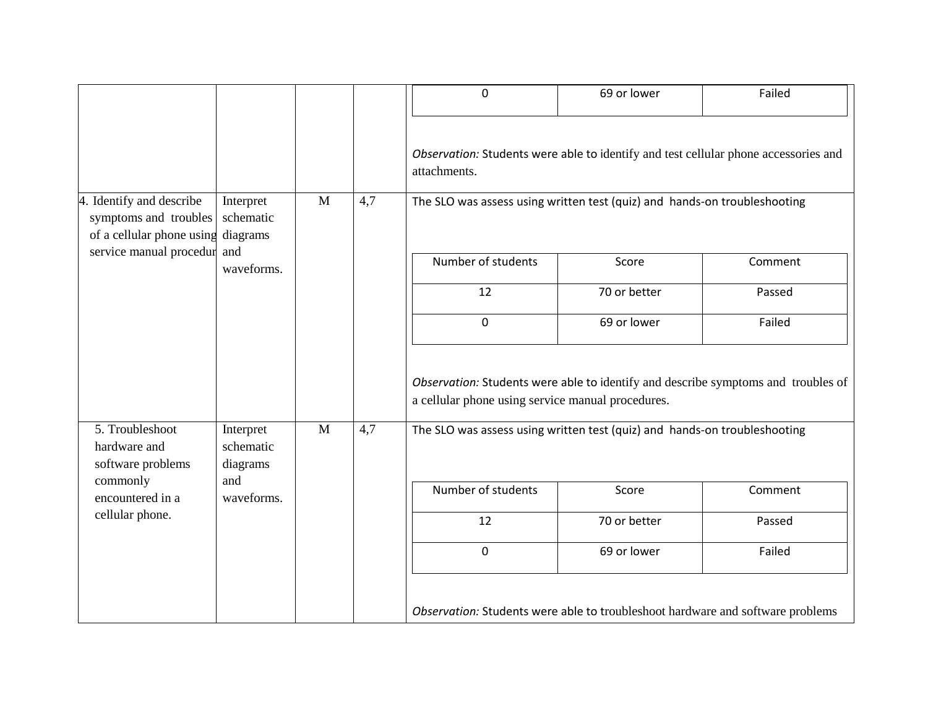|                                                                                                         |                                                         |   |     | 0                                                                                                                                      | 69 or lower                                                                    | Failed  |
|---------------------------------------------------------------------------------------------------------|---------------------------------------------------------|---|-----|----------------------------------------------------------------------------------------------------------------------------------------|--------------------------------------------------------------------------------|---------|
|                                                                                                         |                                                         |   |     | Observation: Students were able to identify and test cellular phone accessories and<br>attachments.                                    |                                                                                |         |
| 4. Identify and describe<br>symptoms and troubles<br>of a cellular phone using diagrams                 | Interpret<br>schematic<br>and<br>waveforms.             | M | 4,7 | The SLO was assess using written test (quiz) and hands-on troubleshooting                                                              |                                                                                |         |
| service manual procedur                                                                                 |                                                         |   |     | Number of students                                                                                                                     | Score                                                                          | Comment |
|                                                                                                         |                                                         |   |     | 12                                                                                                                                     | 70 or better                                                                   | Passed  |
|                                                                                                         |                                                         |   |     | $\mathbf 0$                                                                                                                            | 69 or lower                                                                    | Failed  |
|                                                                                                         |                                                         |   |     | Observation: Students were able to identify and describe symptoms and troubles of<br>a cellular phone using service manual procedures. |                                                                                |         |
| 5. Troubleshoot<br>hardware and<br>software problems<br>commonly<br>encountered in a<br>cellular phone. | Interpret<br>schematic<br>diagrams<br>and<br>waveforms. | M | 4,7 | The SLO was assess using written test (quiz) and hands-on troubleshooting                                                              |                                                                                |         |
|                                                                                                         |                                                         |   |     | Number of students                                                                                                                     | Score                                                                          | Comment |
|                                                                                                         |                                                         |   |     | 12                                                                                                                                     | 70 or better                                                                   | Passed  |
|                                                                                                         |                                                         |   |     | $\mathbf 0$                                                                                                                            | 69 or lower                                                                    | Failed  |
|                                                                                                         |                                                         |   |     |                                                                                                                                        | Observation: Students were able to troubleshoot hardware and software problems |         |